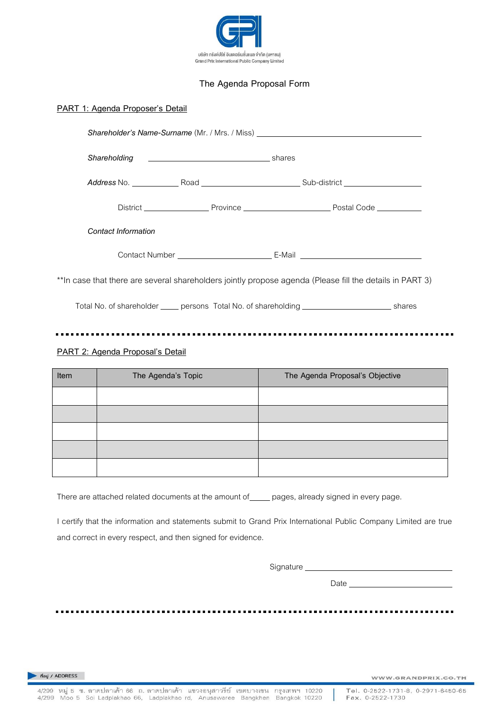

## **The Agenda Proposal Form**

## **PART 1: Agenda Proposer's Detail**

|                                  | Shareholder's Name-Surname (Mr. / Mrs. / Miss) _________________________________                         |  |
|----------------------------------|----------------------------------------------------------------------------------------------------------|--|
|                                  |                                                                                                          |  |
|                                  |                                                                                                          |  |
|                                  |                                                                                                          |  |
| <b>Contact Information</b>       |                                                                                                          |  |
|                                  |                                                                                                          |  |
|                                  | **In case that there are several shareholders jointly propose agenda (Please fill the details in PART 3) |  |
|                                  | Total No. of shareholder _____ persons Total No. of shareholding _______________________ shares          |  |
| PART 2: Agenda Proposal's Detail |                                                                                                          |  |

| Item | The Agenda's Topic | The Agenda Proposal's Objective |
|------|--------------------|---------------------------------|
|      |                    |                                 |
|      |                    |                                 |
|      |                    |                                 |
|      |                    |                                 |
|      |                    |                                 |

There are attached related documents at the amount of equal pages, already signed in every page.

I certify that the information and statements submit to Grand Prix International Public Company Limited are true and correct in every respect, and then signed for evidence.

Signature

Date

ที่อยู่ / ADDRESS

......

 $\bullet$   $\bullet$ 

WWW.GRANDPRIX.CO.TH

 $\blacksquare$ 

.......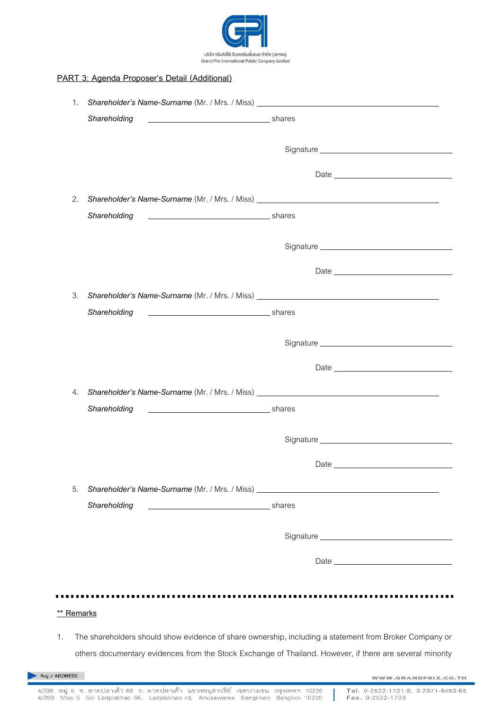

## **PART 3: Agenda Proposer's Detail (Additional)**

|            | 1. Shareholder's Name-Surname (Mr. / Mrs. / Miss) ______________________________                       |                                                                                                          |
|------------|--------------------------------------------------------------------------------------------------------|----------------------------------------------------------------------------------------------------------|
|            | Shareholding<br>shares shares and the state of the state of the shares                                 |                                                                                                          |
|            |                                                                                                        |                                                                                                          |
|            |                                                                                                        |                                                                                                          |
| 2.         |                                                                                                        | Shareholder's Name-Surname (Mr. / Mrs. / Miss) __________________________________                        |
|            | Shareholding<br>shares stream and the shares shares                                                    |                                                                                                          |
|            |                                                                                                        |                                                                                                          |
|            |                                                                                                        |                                                                                                          |
|            |                                                                                                        |                                                                                                          |
| 3.         |                                                                                                        | Shareholder's Name-Surname (Mr. / Mrs. / Miss) __________________________________                        |
|            | shares stream and the stream shares<br>Shareholding                                                    |                                                                                                          |
|            |                                                                                                        |                                                                                                          |
|            |                                                                                                        |                                                                                                          |
|            |                                                                                                        |                                                                                                          |
| 4.         |                                                                                                        | Shareholder's Name-Surname (Mr. / Mrs. / Miss) __________________________________                        |
|            | Shareholding<br>shares and the state of the shares                                                     |                                                                                                          |
|            |                                                                                                        |                                                                                                          |
|            |                                                                                                        | Date <u>and the second contract of the second contract of</u>                                            |
|            |                                                                                                        |                                                                                                          |
| 5.         | Shareholding                                                                                           | Shareholder's Name-Surname (Mr. / Mrs. / Miss) _________________________________<br>shares               |
|            |                                                                                                        |                                                                                                          |
|            |                                                                                                        |                                                                                                          |
|            |                                                                                                        |                                                                                                          |
|            |                                                                                                        |                                                                                                          |
|            |                                                                                                        |                                                                                                          |
| ** Remarks |                                                                                                        |                                                                                                          |
| 1.         | The shareholders should show evidence of share ownership, including a statement from Broker Company or |                                                                                                          |
|            |                                                                                                        | others documentary evidences from the Stock Exchange of Thailand. However, if there are several minority |